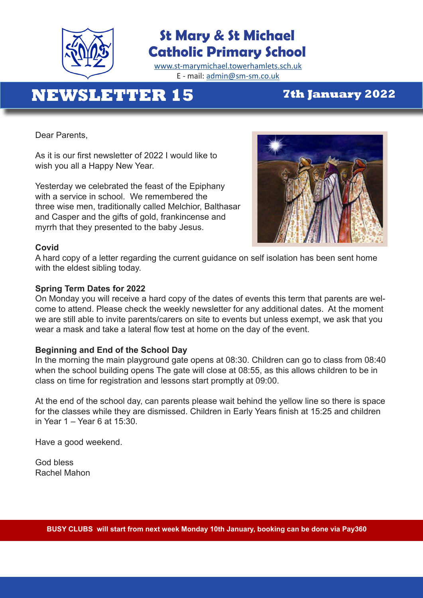

## **St Mary & St Michael Catholic Primary School**

[www.st-marymichael.towerhamlets.sch.uk](http://www.st-marymichael.towerhamlets.sch.uk)  E - mail: [admin@sm-sm.co.uk](http://admin@sm-sm.co.uk)

# **NEWSLETTER 15 7th January 2022**

Dear Parents,

As it is our first newsletter of 2022 I would like to wish you all a Happy New Year.

Yesterday we celebrated the feast of the Epiphany with a service in school. We remembered the three wise men, traditionally called Melchior, Balthasar and Casper and the gifts of gold, frankincense and myrrh that they presented to the baby Jesus.



#### **Covid**

A hard copy of a letter regarding the current guidance on self isolation has been sent home with the eldest sibling today.

#### **Spring Term Dates for 2022**

On Monday you will receive a hard copy of the dates of events this term that parents are welcome to attend. Please check the weekly newsletter for any additional dates. At the moment we are still able to invite parents/carers on site to events but unless exempt, we ask that you wear a mask and take a lateral flow test at home on the day of the event.

#### **Beginning and End of the School Day**

In the morning the main playground gate opens at 08:30. Children can go to class from 08:40 when the school building opens The gate will close at 08:55, as this allows children to be in class on time for registration and lessons start promptly at 09:00.

At the end of the school day, can parents please wait behind the yellow line so there is space for the classes while they are dismissed. Children in Early Years finish at 15:25 and children in Year 1 – Year 6 at 15:30.

Have a good weekend.

God bless Rachel Mahon

j.